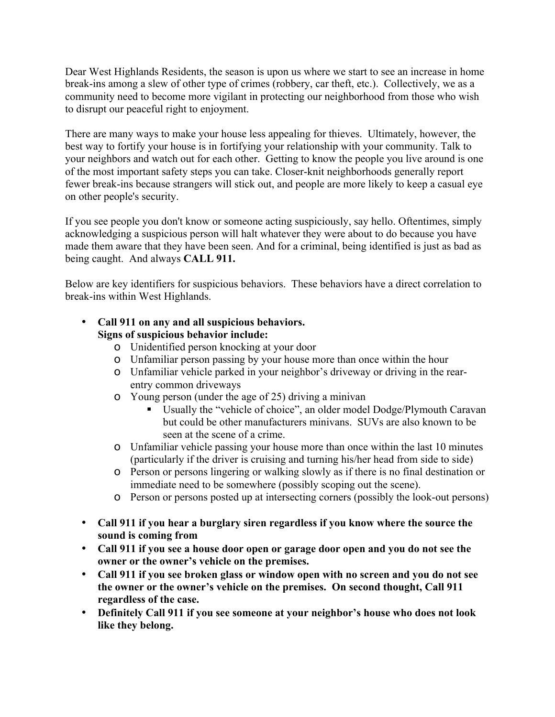Dear West Highlands Residents, the season is upon us where we start to see an increase in home break-ins among a slew of other type of crimes (robbery, car theft, etc.). Collectively, we as a community need to become more vigilant in protecting our neighborhood from those who wish to disrupt our peaceful right to enjoyment.

There are many ways to make your house less appealing for thieves. Ultimately, however, the best way to fortify your house is in fortifying your relationship with your community. Talk to your neighbors and watch out for each other. Getting to know the people you live around is one of the most important safety steps you can take. Closer-knit neighborhoods generally report fewer break-ins because strangers will stick out, and people are more likely to keep a casual eye on other people's security.

If you see people you don't know or someone acting suspiciously, say hello. Oftentimes, simply acknowledging a suspicious person will halt whatever they were about to do because you have made them aware that they have been seen. And for a criminal, being identified is just as bad as being caught. And always **CALL 911.**

Below are key identifiers for suspicious behaviors. These behaviors have a direct correlation to break-ins within West Highlands.

# • **Call 911 on any and all suspicious behaviors. Signs of suspicious behavior include:**

- o Unidentified person knocking at your door
- o Unfamiliar person passing by your house more than once within the hour
- o Unfamiliar vehicle parked in your neighbor's driveway or driving in the rearentry common driveways
- o Young person (under the age of 25) driving a minivan
	- Usually the "vehicle of choice", an older model Dodge/Plymouth Caravan but could be other manufacturers minivans. SUVs are also known to be seen at the scene of a crime.
- o Unfamiliar vehicle passing your house more than once within the last 10 minutes (particularly if the driver is cruising and turning his/her head from side to side)
- o Person or persons lingering or walking slowly as if there is no final destination or immediate need to be somewhere (possibly scoping out the scene).
- o Person or persons posted up at intersecting corners (possibly the look-out persons)
- **Call 911 if you hear a burglary siren regardless if you know where the source the sound is coming from**
- **Call 911 if you see a house door open or garage door open and you do not see the owner or the owner's vehicle on the premises.**
- **Call 911 if you see broken glass or window open with no screen and you do not see the owner or the owner's vehicle on the premises. On second thought, Call 911 regardless of the case.**
- **Definitely Call 911 if you see someone at your neighbor's house who does not look like they belong.**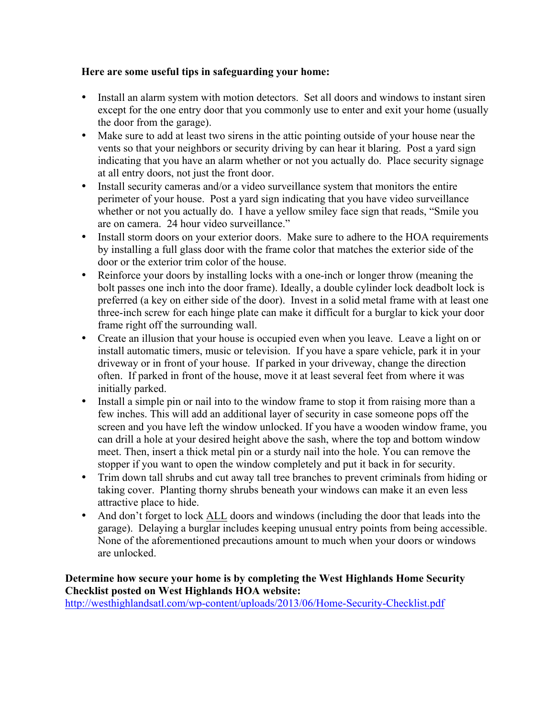### **Here are some useful tips in safeguarding your home:**

- Install an alarm system with motion detectors. Set all doors and windows to instant siren except for the one entry door that you commonly use to enter and exit your home (usually the door from the garage).
- Make sure to add at least two sirens in the attic pointing outside of your house near the vents so that your neighbors or security driving by can hear it blaring. Post a yard sign indicating that you have an alarm whether or not you actually do. Place security signage at all entry doors, not just the front door.
- Install security cameras and/or a video surveillance system that monitors the entire perimeter of your house. Post a yard sign indicating that you have video surveillance whether or not you actually do. I have a yellow smiley face sign that reads, "Smile you are on camera. 24 hour video surveillance."
- Install storm doors on your exterior doors. Make sure to adhere to the HOA requirements by installing a full glass door with the frame color that matches the exterior side of the door or the exterior trim color of the house.
- Reinforce your doors by installing locks with a one-inch or longer throw (meaning the bolt passes one inch into the door frame). Ideally, a double cylinder lock deadbolt lock is preferred (a key on either side of the door). Invest in a solid metal frame with at least one three-inch screw for each hinge plate can make it difficult for a burglar to kick your door frame right off the surrounding wall.
- Create an illusion that your house is occupied even when you leave. Leave a light on or install automatic timers, music or television. If you have a spare vehicle, park it in your driveway or in front of your house. If parked in your driveway, change the direction often. If parked in front of the house, move it at least several feet from where it was initially parked.
- Install a simple pin or nail into to the window frame to stop it from raising more than a few inches. This will add an additional layer of security in case someone pops off the screen and you have left the window unlocked. If you have a wooden window frame, you can drill a hole at your desired height above the sash, where the top and bottom window meet. Then, insert a thick metal pin or a sturdy nail into the hole. You can remove the stopper if you want to open the window completely and put it back in for security.
- Trim down tall shrubs and cut away tall tree branches to prevent criminals from hiding or taking cover. Planting thorny shrubs beneath your windows can make it an even less attractive place to hide.
- And don't forget to lock ALL doors and windows (including the door that leads into the garage). Delaying a burglar includes keeping unusual entry points from being accessible. None of the aforementioned precautions amount to much when your doors or windows are unlocked.

## **Determine how secure your home is by completing the West Highlands Home Security Checklist posted on West Highlands HOA website:**

http://westhighlandsatl.com/wp-content/uploads/2013/06/Home-Security-Checklist.pdf